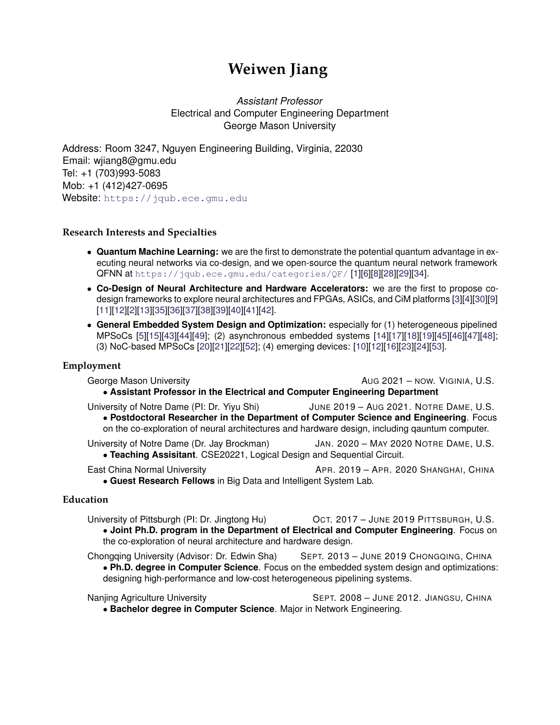# **Weiwen Jiang**

*Assistant Professor* Electrical and Computer Engineering Department George Mason University

Address: Room 3247, Nguyen Engineering Building, Virginia, 22030 Email: wjiang8@gmu.edu Tel: +1 (703)993-5083 Mob: +1 (412)427-0695 Website: <https://jqub.ece.gmu.edu>

## **Research Interests and Specialties**

- **Quantum Machine Learning:** we are the first to demonstrate the potential quantum advantage in executing neural networks via co-design, and we open-source the quantum neural network framework QFNN at <https://jqub.ece.gmu.edu/categories/QF/> [\[1\]](#page-3-0)[\[6\]](#page-3-1)[\[8\]](#page-3-2)[\[28\]](#page-4-0)[\[29\]](#page-5-0)[\[34\]](#page-5-1).
- **Co-Design of Neural Architecture and Hardware Accelerators:** we are the first to propose codesign frameworks to explore neural architectures and FPGAs, ASICs, and CiM platforms [\[3\]](#page-3-3)[\[4\]](#page-3-4)[\[30\]](#page-5-2)[\[9\]](#page-3-5) [\[11\]](#page-3-6)[\[12\]](#page-3-7)[\[2\]](#page-3-8)[\[13\]](#page-3-9)[\[35\]](#page-5-3)[\[36\]](#page-5-4)[\[37\]](#page-5-5)[\[38\]](#page-5-6)[\[39\]](#page-5-7)[\[40\]](#page-5-8)[\[41\]](#page-5-9)[\[42\]](#page-5-10).
- **General Embedded System Design and Optimization:** especially for (1) heterogeneous pipelined MPSoCs [\[5\]](#page-3-10)[\[15\]](#page-4-1)[\[43\]](#page-6-0)[\[44\]](#page-6-1)[\[49\]](#page-6-2); (2) asynchronous embedded systems [\[14\]](#page-4-2)[\[17\]](#page-4-3)[\[18\]](#page-4-4)[\[19\]](#page-4-5)[\[45\]](#page-6-3)[\[46\]](#page-6-4)[\[47\]](#page-6-5)[\[48\]](#page-6-6); (3) NoC-based MPSoCs [\[20\]](#page-4-6)[\[21\]](#page-4-7)[\[22\]](#page-4-8)[\[52\]](#page-6-7); (4) emerging devices: [\[10\]](#page-3-11)[\[12\]](#page-3-7)[\[16\]](#page-4-9)[\[23\]](#page-4-10)[\[24\]](#page-4-11)[\[53\]](#page-6-8).

## **Employment**

George Mason University **AUG 2021** – NOW. VIGINIA, U.S. • **Assistant Professor in the Electrical and Computer Engineering Department**

University of Notre Dame (PI: Dr. Yiyu Shi) JUNE 2019 - AUG 2021. NOTRE DAME, U.S. • **Postdoctoral Researcher in the Department of Computer Science and Engineering**. Focus on the co-exploration of neural architectures and hardware design, including qauntum computer.

University of Notre Dame (Dr. Jay Brockman) JAN. 2020 – MAY 2020 NOTRE DAME, U.S. • **Teaching Assisitant**. CSE20221, Logical Design and Sequential Circuit.

East China Normal University **APR. 2019 – APR. 2020 SHANGHAI, CHINA** • **Guest Research Fellows** in Big Data and Intelligent System Lab.

## **Education**

University of Pittsburgh (PI: Dr. Jingtong Hu) OCT. 2017 – JUNE 2019 PITTSBURGH, U.S. • **Joint Ph.D. program in the Department of Electrical and Computer Engineering**. Focus on the co-exploration of neural architecture and hardware design.

Chongqing University (Advisor: Dr. Edwin Sha) SEPT. 2013 - JUNE 2019 CHONGQING, CHINA • **Ph.D. degree in Computer Science**. Focus on the embedded system design and optimizations: designing high-performance and low-cost heterogeneous pipelining systems.

Nanjing Agriculture University **SEPT.** 2008 – JUNE 2012. JIANGSU, CHINA • **Bachelor degree in Computer Science**. Major in Network Engineering.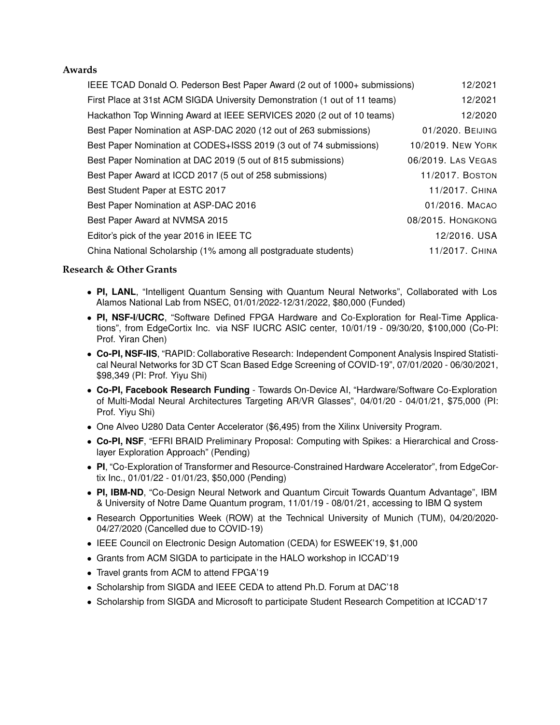## **Awards**

| IEEE TCAD Donald O. Pederson Best Paper Award (2 out of 1000+ submissions)<br>12/2021 |
|---------------------------------------------------------------------------------------|
| 12/2021                                                                               |
| 12/2020                                                                               |
| 01/2020, BEIJING                                                                      |
| 10/2019. NEW YORK                                                                     |
| 06/2019. LAS VEGAS                                                                    |
| 11/2017. BOSTON                                                                       |
| 11/2017. CHINA                                                                        |
| 01/2016, MACAO                                                                        |
| 08/2015. HONGKONG                                                                     |
| 12/2016. USA                                                                          |
| 11/2017. CHINA                                                                        |
|                                                                                       |

# **Research & Other Grants**

- **PI, LANL**, "Intelligent Quantum Sensing with Quantum Neural Networks", Collaborated with Los Alamos National Lab from NSEC, 01/01/2022-12/31/2022, \$80,000 (Funded)
- **PI, NSF-I/UCRC**, "Software Defined FPGA Hardware and Co-Exploration for Real-Time Applications", from EdgeCortix Inc. via NSF IUCRC ASIC center, 10/01/19 - 09/30/20, \$100,000 (Co-PI: Prof. Yiran Chen)
- **Co-PI, NSF-IIS**, "RAPID: Collaborative Research: Independent Component Analysis Inspired Statistical Neural Networks for 3D CT Scan Based Edge Screening of COVID-19", 07/01/2020 - 06/30/2021, \$98,349 (PI: Prof. Yiyu Shi)
- **Co-PI, Facebook Research Funding** Towards On-Device AI, "Hardware/Software Co-Exploration of Multi-Modal Neural Architectures Targeting AR/VR Glasses", 04/01/20 - 04/01/21, \$75,000 (PI: Prof. Yiyu Shi)
- One Alveo U280 Data Center Accelerator (\$6,495) from the Xilinx University Program.
- **Co-PI, NSF**, "EFRI BRAID Preliminary Proposal: Computing with Spikes: a Hierarchical and Crosslayer Exploration Approach" (Pending)
- **PI**, "Co-Exploration of Transformer and Resource-Constrained Hardware Accelerator", from EdgeCortix Inc., 01/01/22 - 01/01/23, \$50,000 (Pending)
- **PI, IBM-ND**, "Co-Design Neural Network and Quantum Circuit Towards Quantum Advantage", IBM & University of Notre Dame Quantum program, 11/01/19 - 08/01/21, accessing to IBM Q system
- Research Opportunities Week (ROW) at the Technical University of Munich (TUM), 04/20/2020- 04/27/2020 (Cancelled due to COVID-19)
- IEEE Council on Electronic Design Automation (CEDA) for ESWEEK'19, \$1,000
- Grants from ACM SIGDA to participate in the HALO workshop in ICCAD'19
- Travel grants from ACM to attend FPGA'19
- Scholarship from SIGDA and IEEE CEDA to attend Ph.D. Forum at DAC'18
- Scholarship from SIGDA and Microsoft to participate Student Research Competition at ICCAD'17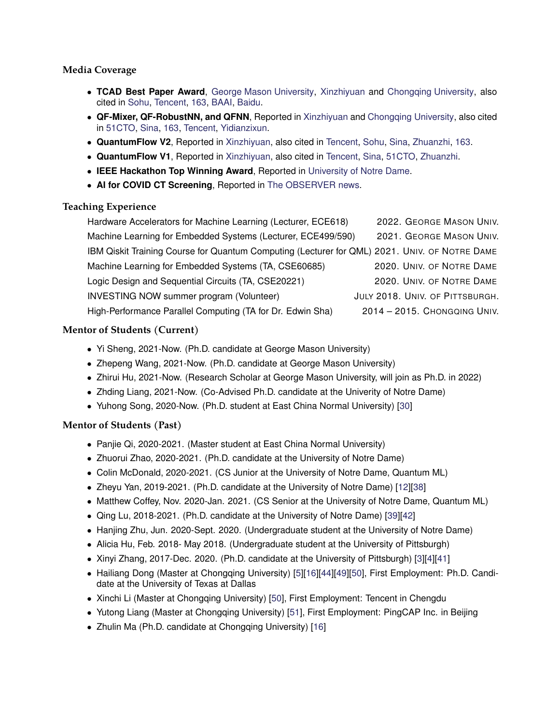# **Media Coverage**

- **TCAD Best Paper Award**, [George Mason University,](https://www.gmu.edu/news/2021-12/weiwen-jiang-wins-ieee-best-paper-award) [Xinzhiyuan](https://mp.weixin.qq.com/s/fohtFgCkBbBXdKhP9Dw81w) and [Chongqing University,](https://mp.weixin.qq.com/s/yhy-VpY1MxLIWQiWNlksCw) also cited in [Sohu,](https://www.sohu.com/a/509838957_473283) [Tencent,](https://cloud.tencent.com/developer/article/1922761) [163,](https://www.163.com/dy/article/GRJ8IP4I0511ABV6.html) [BAAI,](https://hub.baai.ac.cn/view/13192) [Baidu.](https://baijiahao.baidu.com/s?id=1720356480437889717&wfr=spider&for=pc)
- **QF-Mixer, QF-RobustNN, and QFNN**, Reported in [Xinzhiyuan](https://mp.weixin.qq.com/s/uO2Wj1qMEyBa2la-_0glXQ) and [Chongqing University,](https://mp.weixin.qq.com/s/s6ofcRcSbn5o0doYsxF_MA) also cited in [51CTO,](https://news.51cto.com/art/202111/688242.htm) [Sina,](https://cj.sina.com.cn/articles/view/5703921756/153faf05c01900we3h) [163,](https://www.163.com/dy/article/GNFU3LL10511ABV6.html?f=post2020_dy_recommends) [Tencent,](https://xw.qq.com/amphtml/20211029A09YN900) [Yidianzixun.](http://www.yidianzixun.com/article/0ZCwiYVk/amp)
- **QuantumFlow V2**, Reported in [Xinzhiyuan,](https://mp.weixin.qq.com/s/K6tk_E_JhxLyMZ9Wthkkag) also cited in [Tencent,](https://cloud.tencent.com/developer/article/1705850) [Sohu,](https://www.sohu.com/a/420591285_473283) [Sina,](https://tech.sina.com.cn/csj/2020-09-24/doc-iivhvpwy8572688.shtml) [Zhuanzhi,](https://www.zhuanzhi.ai/document/bc3690e674d024b6e1466cdb0121582a) [163.](https://www.163.com/dy/article/FNAI3EF40511ABV6.html)
- **QuantumFlow V1**, Reported in [Xinzhiyuan,](https://mp.weixin.qq.com/s/km-o-5CjC9MLkD3UfZKZ7Q) also cited in [Tencent,](https://cloud.tencent.com/developer/news/667263) [Sina,](http://tech.sina.com.cn/csj/2020-07-24/doc-iivhvpwx7222840.shtml) [51CTO,](https://news.51cto.com/art/202007/621956.htm) [Zhuanzhi.](https://www.zhuanzhi.ai/document/fb0d527c033e3522341f192c3fd632dd)
- **IEEE Hackathon Top Winning Award**, Reported in [University of Notre Dame.](https://cse.nd.edu/news/notre-dame-team-shares-top-honors-in-ieee-services-2020-hackathon-for-project-related-to-covid-19-patient-data-privacy/)
- **AI for COVID CT Screening**, Reported in [The OBSERVER news.](https://ndsmcobserver.com/2020/09/university-researchers-use-artificial-intelligence-to-increase-ct-screening-efficiency/)

# **Teaching Experience**

Hardware Accelerators for Machine Learning (Lecturer, ECE618) 2022. GEORGE MASON UNIV. Machine Learning for Embedded Systems (Lecturer, ECE499/590) 2021. GEORGE MASON UNIV. IBM Qiskit Training Course for Quantum Computing (Lecturer for QML) 2021. UNIV. OF NOTRE DAME Machine Learning for Embedded Systems (TA, CSE60685) 2020. UNIV. OF NOTRE DAME Logic Design and Sequential Circuits (TA, CSE20221) 2020. UNIV. OF NOTRE DAME INVESTING NOW summer program (Volunteer) JULY 2018. UNIV. OF PITTSBURGH. High-Performance Parallel Computing (TA for Dr. Edwin Sha) 2014 – 2015. CHONGQING UNIV.

# **Mentor of Students (Current)**

- Yi Sheng, 2021-Now. (Ph.D. candidate at George Mason University)
- Zhepeng Wang, 2021-Now. (Ph.D. candidate at George Mason University)
- Zhirui Hu, 2021-Now. (Research Scholar at George Mason University, will join as Ph.D. in 2022)
- Zhding Liang, 2021-Now. (Co-Advised Ph.D. candidate at the Univerity of Notre Dame)
- Yuhong Song, 2020-Now. (Ph.D. student at East China Normal University) [\[30\]](#page-5-2)

# **Mentor of Students (Past)**

- Panjie Qi, 2020-2021. (Master student at East China Normal University)
- Zhuorui Zhao, 2020-2021. (Ph.D. candidate at the University of Notre Dame)
- Colin McDonald, 2020-2021. (CS Junior at the University of Notre Dame, Quantum ML)
- Zheyu Yan, 2019-2021. (Ph.D. candidate at the University of Notre Dame) [\[12\]](#page-3-7)[\[38\]](#page-5-6)
- Matthew Coffey, Nov. 2020-Jan. 2021. (CS Senior at the University of Notre Dame, Quantum ML)
- Qing Lu, 2018-2021. (Ph.D. candidate at the University of Notre Dame) [\[39\]](#page-5-7)[\[42\]](#page-5-10)
- Hanjing Zhu, Jun. 2020-Sept. 2020. (Undergraduate student at the University of Notre Dame)
- Alicia Hu, Feb. 2018- May 2018. (Undergraduate student at the University of Pittsburgh)
- Xinyi Zhang, 2017-Dec. 2020. (Ph.D. candidate at the University of Pittsburgh) [\[3\]](#page-3-3)[\[4\]](#page-3-4)[\[41\]](#page-5-9)
- Hailiang Dong (Master at Chongqing University) [\[5\]](#page-3-10)[\[16\]](#page-4-9)[\[44\]](#page-6-1)[\[49\]](#page-6-2)[\[50\]](#page-6-9), First Employment: Ph.D. Candidate at the University of Texas at Dallas
- Xinchi Li (Master at Chongqing University) [\[50\]](#page-6-9), First Employment: Tencent in Chengdu
- Yutong Liang (Master at Chongqing University) [\[51\]](#page-6-10), First Employment: PingCAP Inc. in Beijing
- Zhulin Ma (Ph.D. candidate at Chongqing University) [\[16\]](#page-4-9)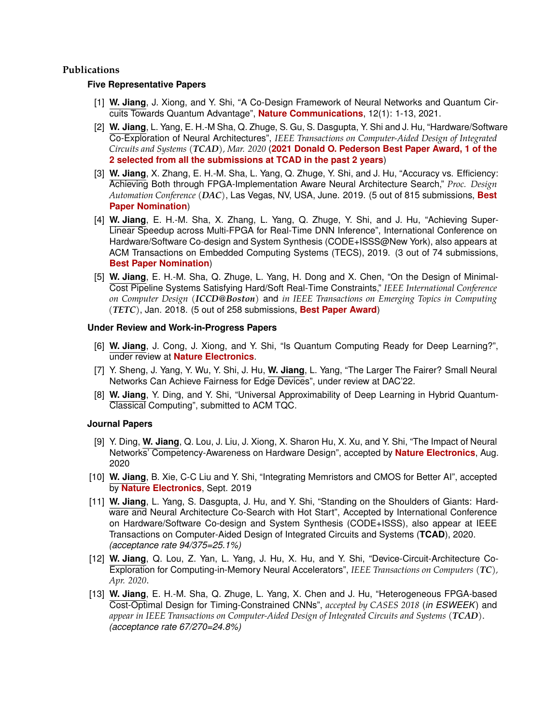### <span id="page-3-0"></span>**Publications**

#### **Five Representative Papers**

- <span id="page-3-8"></span>[1] **W. Jiang**, J. Xiong, and Y. Shi, "A Co-Design Framework of Neural Networks and Quantum Circuits Towards Quantum Advantage", **Nature Communications**, 12(1): 1-13, 2021.
- [2] **W. Jiang**, L. Yang, E. H.-M Sha, Q. Zhuge, S. Gu, S. Dasgupta, Y. Shi and J. Hu, "Hardware/Software Co-Exploration of Neural Architectures", *IEEE Transactions on Computer-Aided Design of Integrated Circuits and Systems (TCAD), Mar. 2020* (**2021 Donald O. Pederson Best Paper Award, 1 of the 2 selected from all the submissions at TCAD in the past 2 years**)
- <span id="page-3-3"></span>[3] **W. Jiang**, X. Zhang, E. H.-M. Sha, L. Yang, Q. Zhuge, Y. Shi, and J. Hu, "Accuracy vs. Efficiency: Achieving Both through FPGA-Implementation Aware Neural Architecture Search," *Proc. Design Automation Conference (DAC)*, Las Vegas, NV, USA, June. 2019. (5 out of 815 submissions, **Best Paper Nomination**)
- <span id="page-3-4"></span>[4] **W. Jiang**, E. H.-M. Sha, X. Zhang, L. Yang, Q. Zhuge, Y. Shi, and J. Hu, "Achieving Super-Linear Speedup across Multi-FPGA for Real-Time DNN Inference", International Conference on Hardware/Software Co-design and System Synthesis (CODE+ISSS@New York), also appears at ACM Transactions on Embedded Computing Systems (TECS), 2019. (3 out of 74 submissions, **Best Paper Nomination**)
- <span id="page-3-10"></span>[5] **W. Jiang**, E. H.-M. Sha, Q. Zhuge, L. Yang, H. Dong and X. Chen, "On the Design of Minimal-Cost Pipeline Systems Satisfying Hard/Soft Real-Time Constraints," *IEEE International Conference on Computer Design (ICCD@Boston)* and *in IEEE Transactions on Emerging Topics in Computing (TETC)*, Jan. 2018. (5 out of 258 submissions, **Best Paper Award**)

#### <span id="page-3-1"></span>**Under Review and Work-in-Progress Papers**

- [6] **W. Jiang**, J. Cong, J. Xiong, and Y. Shi, "Is Quantum Computing Ready for Deep Learning?", under review at **Nature Electronics**.
- [7] Y. Sheng, J. Yang, Y. Wu, Y. Shi, J. Hu, **W. Jiang**, L. Yang, "The Larger The Fairer? Small Neural Networks Can Achieve Fairness for Edge Devices", under review at DAC'22.
- <span id="page-3-2"></span>[8] **W. Jiang**, Y. Ding, and Y. Shi, "Universal Approximability of Deep Learning in Hybrid Quantum-Classical Computing", submitted to ACM TQC.

#### <span id="page-3-5"></span>**Journal Papers**

- [9] Y. Ding, **W. Jiang**, Q. Lou, J. Liu, J. Xiong, X. Sharon Hu, X. Xu, and Y. Shi, "The Impact of Neural Networks' Competency-Awareness on Hardware Design", accepted by **Nature Electronics**, Aug. 2020
- <span id="page-3-11"></span>[10] **W. Jiang**, B. Xie, C-C Liu and Y. Shi, "Integrating Memristors and CMOS for Better AI", accepted by **Nature Electronics**, Sept. 2019
- <span id="page-3-6"></span>[11] **W. Jiang**, L. Yang, S. Dasgupta, J. Hu, and Y. Shi, "Standing on the Shoulders of Giants: Hardware and Neural Architecture Co-Search with Hot Start", Accepted by International Conference on Hardware/Software Co-design and System Synthesis (CODE+ISSS), also appear at IEEE Transactions on Computer-Aided Design of Integrated Circuits and Systems (**TCAD**), 2020. *(acceptance rate 94/375=25.1%)*
- <span id="page-3-7"></span>[12] **W. Jiang**, Q. Lou, Z. Yan, L. Yang, J. Hu, X. Hu, and Y. Shi, "Device-Circuit-Architecture Co-Exploration for Computing-in-Memory Neural Accelerators", *IEEE Transactions on Computers (TC), Apr. 2020*.
- <span id="page-3-9"></span>[13] **W. Jiang**, E. H.-M. Sha, Q. Zhuge, L. Yang, X. Chen and J. Hu, "Heterogeneous FPGA-based Cost-Optimal Design for Timing-Constrained CNNs", *accepted by CASES 2018* (*in ESWEEK*) and *appear in IEEE Transactions on Computer-Aided Design of Integrated Circuits and Systems (TCAD)*. *(acceptance rate 67/270=24.8%)*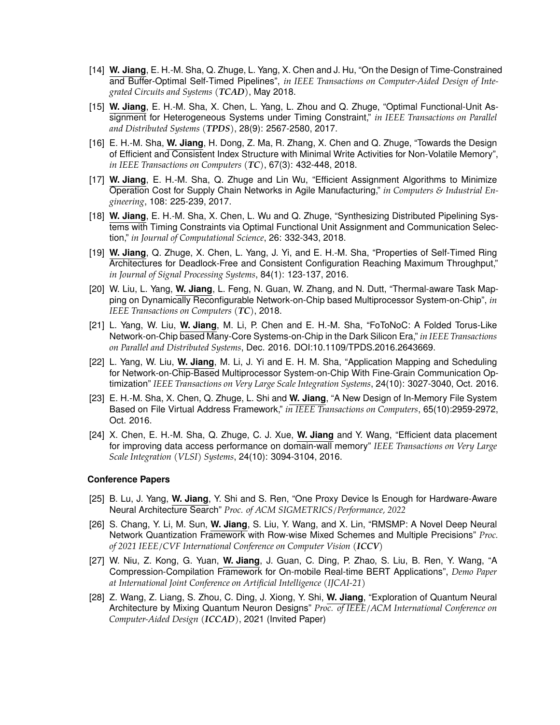- <span id="page-4-2"></span>[14] **W. Jiang**, E. H.-M. Sha, Q. Zhuge, L. Yang, X. Chen and J. Hu, "On the Design of Time-Constrained and Buffer-Optimal Self-Timed Pipelines", *in IEEE Transactions on Computer-Aided Design of Integrated Circuits and Systems (TCAD)*, May 2018.
- <span id="page-4-1"></span>[15] **W. Jiang**, E. H.-M. Sha, X. Chen, L. Yang, L. Zhou and Q. Zhuge, "Optimal Functional-Unit Assignment for Heterogeneous Systems under Timing Constraint," *in IEEE Transactions on Parallel and Distributed Systems (TPDS)*, 28(9): 2567-2580, 2017.
- <span id="page-4-9"></span>[16] E. H.-M. Sha, **W. Jiang**, H. Dong, Z. Ma, R. Zhang, X. Chen and Q. Zhuge, "Towards the Design of Efficient and Consistent Index Structure with Minimal Write Activities for Non-Volatile Memory", *in IEEE Transactions on Computers (TC)*, 67(3): 432-448, 2018.
- <span id="page-4-3"></span>[17] **W. Jiang**, E. H.-M. Sha, Q. Zhuge and Lin Wu, "Efficient Assignment Algorithms to Minimize Operation Cost for Supply Chain Networks in Agile Manufacturing," *in Computers & Industrial Engineering*, 108: 225-239, 2017.
- <span id="page-4-4"></span>[18] **W. Jiang**, E. H.-M. Sha, X. Chen, L. Wu and Q. Zhuge, "Synthesizing Distributed Pipelining Systems with Timing Constraints via Optimal Functional Unit Assignment and Communication Selection," *in Journal of Computational Science*, 26: 332-343, 2018.
- <span id="page-4-5"></span>[19] **W. Jiang**, Q. Zhuge, X. Chen, L. Yang, J. Yi, and E. H.-M. Sha, "Properties of Self-Timed Ring Architectures for Deadlock-Free and Consistent Configuration Reaching Maximum Throughput," *in Journal of Signal Processing Systems*, 84(1): 123-137, 2016.
- <span id="page-4-6"></span>[20] W. Liu, L. Yang, **W. Jiang**, L. Feng, N. Guan, W. Zhang, and N. Dutt, "Thermal-aware Task Mapping on Dynamically Reconfigurable Network-on-Chip based Multiprocessor System-on-Chip", *in IEEE Transactions on Computers (TC)*, 2018.
- <span id="page-4-7"></span>[21] L. Yang, W. Liu, **W. Jiang**, M. Li, P. Chen and E. H.-M. Sha, "FoToNoC: A Folded Torus-Like Network-on-Chip based Many-Core Systems-on-Chip in the Dark Silicon Era," *in IEEE Transactions on Parallel and Distributed Systems*, Dec. 2016. DOI:10.1109/TPDS.2016.2643669.
- <span id="page-4-8"></span>[22] L. Yang, W. Liu, **W. Jiang**, M. Li, J. Yi and E. H. M. Sha, "Application Mapping and Scheduling for Network-on-Chip-Based Multiprocessor System-on-Chip With Fine-Grain Communication Optimization" *IEEE Transactions on Very Large Scale Integration Systems*, 24(10): 3027-3040, Oct. 2016.
- <span id="page-4-10"></span>[23] E. H.-M. Sha, X. Chen, Q. Zhuge, L. Shi and **W. Jiang**, "A New Design of In-Memory File System Based on File Virtual Address Framework," *in IEEE Transactions on Computers*, 65(10):2959-2972, Oct. 2016.
- <span id="page-4-11"></span>[24] X. Chen, E. H.-M. Sha, Q. Zhuge, C. J. Xue, **W. Jiang** and Y. Wang, "Efficient data placement for improving data access performance on domain-wall memory" *IEEE Transactions on Very Large Scale Integration (VLSI) Systems*, 24(10): 3094-3104, 2016.

#### **Conference Papers**

- [25] B. Lu, J. Yang, **W. Jiang**, Y. Shi and S. Ren, "One Proxy Device Is Enough for Hardware-Aware Neural Architecture Search" *Proc. of ACM SIGMETRICS/Performance, 2022*
- [26] S. Chang, Y. Li, M. Sun, **W. Jiang**, S. Liu, Y. Wang, and X. Lin, "RMSMP: A Novel Deep Neural Network Quantization Framework with Row-wise Mixed Schemes and Multiple Precisions" *Proc. of 2021 IEEE/CVF International Conference on Computer Vision (ICCV)*
- [27] W. Niu, Z. Kong, G. Yuan, **W. Jiang**, J. Guan, C. Ding, P. Zhao, S. Liu, B. Ren, Y. Wang, "A Compression-Compilation Framework for On-mobile Real-time BERT Applications", *Demo Paper at International Joint Conference on Artificial Intelligence (IJCAI-21)*
- <span id="page-4-0"></span>[28] Z. Wang, Z. Liang, S. Zhou, C. Ding, J. Xiong, Y. Shi, **W. Jiang**, "Exploration of Quantum Neural Architecture by Mixing Quantum Neuron Designs" *Proc. of IEEE/ACM International Conference on Computer-Aided Design (ICCAD)*, 2021 (Invited Paper)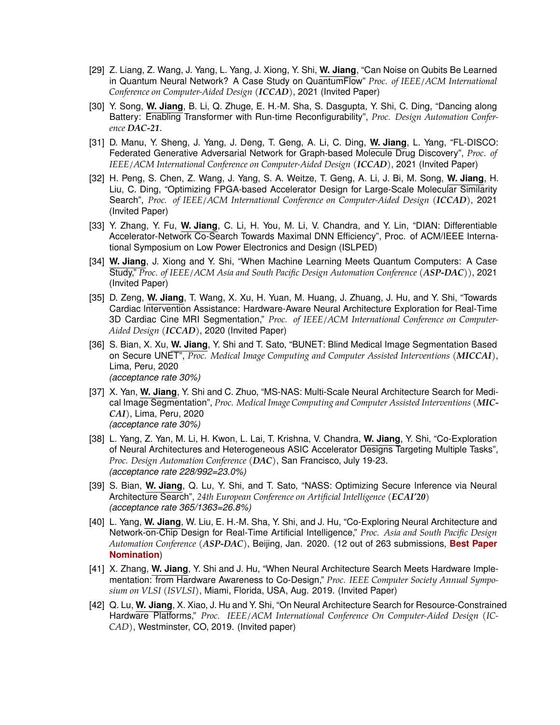- <span id="page-5-0"></span>[29] Z. Liang, Z. Wang, J. Yang, L. Yang, J. Xiong, Y. Shi, **W. Jiang**, "Can Noise on Qubits Be Learned in Quantum Neural Network? A Case Study on QuantumFlow" *Proc. of IEEE/ACM International Conference on Computer-Aided Design (ICCAD)*, 2021 (Invited Paper)
- <span id="page-5-2"></span>[30] Y. Song, **W. Jiang**, B. Li, Q. Zhuge, E. H.-M. Sha, S. Dasgupta, Y. Shi, C. Ding, "Dancing along Battery: Enabling Transformer with Run-time Reconfigurability", *Proc. Design Automation Conference DAC-21*.
- [31] D. Manu, Y. Sheng, J. Yang, J. Deng, T. Geng, A. Li, C. Ding, **W. Jiang**, L. Yang, "FL-DISCO: Federated Generative Adversarial Network for Graph-based Molecule Drug Discovery", *Proc. of IEEE/ACM International Conference on Computer-Aided Design (ICCAD)*, 2021 (Invited Paper)
- [32] H. Peng, S. Chen, Z. Wang, J. Yang, S. A. Weitze, T. Geng, A. Li, J. Bi, M. Song, **W. Jiang**, H. Liu, C. Ding, "Optimizing FPGA-based Accelerator Design for Large-Scale Molecular Similarity Search", *Proc. of IEEE/ACM International Conference on Computer-Aided Design (ICCAD)*, 2021 (Invited Paper)
- [33] Y. Zhang, Y. Fu, **W. Jiang**, C. Li, H. You, M. Li, V. Chandra, and Y. Lin, "DIAN: Differentiable Accelerator-Network Co-Search Towards Maximal DNN Efficiency", Proc. of ACM/IEEE International Symposium on Low Power Electronics and Design (ISLPED)
- <span id="page-5-1"></span>[34] **W. Jiang**, J. Xiong and Y. Shi, "When Machine Learning Meets Quantum Computers: A Case Study," *Proc. of IEEE/ACM Asia and South Pacific Design Automation Conference (ASP-DAC))*, 2021 (Invited Paper)
- <span id="page-5-3"></span>[35] D. Zeng, **W. Jiang**, T. Wang, X. Xu, H. Yuan, M. Huang, J. Zhuang, J. Hu, and Y. Shi, "Towards Cardiac Intervention Assistance: Hardware-Aware Neural Architecture Exploration for Real-Time 3D Cardiac Cine MRI Segmentation," *Proc. of IEEE/ACM International Conference on Computer-Aided Design (ICCAD)*, 2020 (Invited Paper)
- <span id="page-5-4"></span>[36] S. Bian, X. Xu, **W. Jiang**, Y. Shi and T. Sato, "BUNET: Blind Medical Image Segmentation Based on Secure UNET", *Proc. Medical Image Computing and Computer Assisted Interventions (MICCAI)*, Lima, Peru, 2020 *(acceptance rate 30%)*
- <span id="page-5-5"></span>[37] X. Yan, **W. Jiang**, Y. Shi and C. Zhuo, "MS-NAS: Multi-Scale Neural Architecture Search for Medical Image Segmentation", *Proc. Medical Image Computing and Computer Assisted Interventions (MIC-CAI)*, Lima, Peru, 2020 *(acceptance rate 30%)*
- <span id="page-5-6"></span>[38] L. Yang, Z. Yan, M. Li, H. Kwon, L. Lai, T. Krishna, V. Chandra, **W. Jiang**, Y. Shi, "Co-Exploration of Neural Architectures and Heterogeneous ASIC Accelerator Designs Targeting Multiple Tasks", *Proc. Design Automation Conference (DAC)*, San Francisco, July 19-23. *(acceptance rate 228/992=23.0%)*
- <span id="page-5-7"></span>[39] S. Bian, **W. Jiang**, Q. Lu, Y. Shi, and T. Sato, "NASS: Optimizing Secure Inference via Neural Architecture Search", *24th European Conference on Artificial Intelligence (ECAI'20) (acceptance rate 365/1363=26.8%)*
- <span id="page-5-8"></span>[40] L. Yang, **W. Jiang**, W. Liu, E. H.-M. Sha, Y. Shi, and J. Hu, "Co-Exploring Neural Architecture and Network-on-Chip Design for Real-Time Artificial Intelligence," *Proc. Asia and South Pacific Design Automation Conference (ASP-DAC)*, Beijing, Jan. 2020. (12 out of 263 submissions, **Best Paper Nomination**)
- <span id="page-5-9"></span>[41] X. Zhang, **W. Jiang**, Y. Shi and J. Hu, "When Neural Architecture Search Meets Hardware Implementation: from Hardware Awareness to Co-Design," *Proc. IEEE Computer Society Annual Symposium on VLSI (ISVLSI)*, Miami, Florida, USA, Aug. 2019. (Invited Paper)
- <span id="page-5-10"></span>[42] Q. Lu, **W. Jiang**, X. Xiao, J. Hu and Y. Shi, "On Neural Architecture Search for Resource-Constrained Hardware Platforms," *Proc. IEEE/ACM International Conference On Computer-Aided Design (IC-CAD)*, Westminster, CO, 2019. (Invited paper)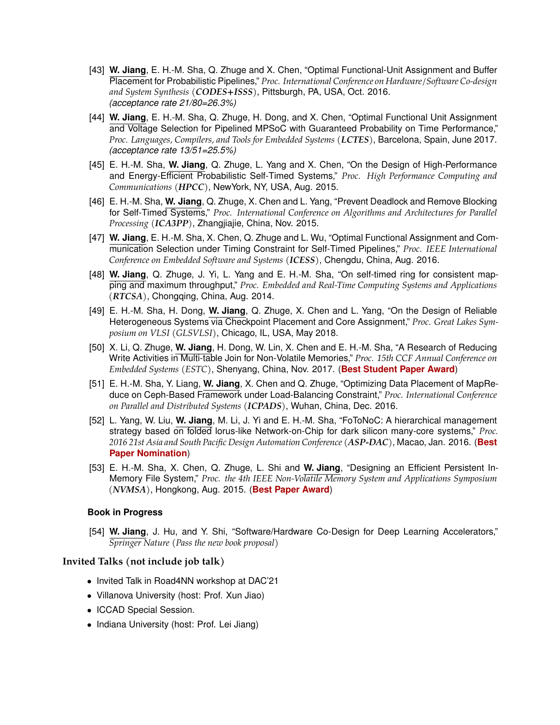- <span id="page-6-0"></span>[43] **W. Jiang**, E. H.-M. Sha, Q. Zhuge and X. Chen, "Optimal Functional-Unit Assignment and Buffer Placement for Probabilistic Pipelines," *Proc. International Conference on Hardware/Software Co-design and System Synthesis (CODES+ISSS)*, Pittsburgh, PA, USA, Oct. 2016. *(acceptance rate 21/80=26.3%)*
- <span id="page-6-1"></span>[44] **W. Jiang**, E. H.-M. Sha, Q. Zhuge, H. Dong, and X. Chen, "Optimal Functional Unit Assignment and Voltage Selection for Pipelined MPSoC with Guaranteed Probability on Time Performance," *Proc. Languages, Compilers, and Tools for Embedded Systems (LCTES)*, Barcelona, Spain, June 2017. *(acceptance rate 13/51=25.5%)*
- <span id="page-6-3"></span>[45] E. H.-M. Sha, **W. Jiang**, Q. Zhuge, L. Yang and X. Chen, "On the Design of High-Performance and Energy-Efficient Probabilistic Self-Timed Systems," *Proc. High Performance Computing and Communications (HPCC)*, NewYork, NY, USA, Aug. 2015.
- <span id="page-6-4"></span>[46] E. H.-M. Sha, **W. Jiang**, Q. Zhuge, X. Chen and L. Yang, "Prevent Deadlock and Remove Blocking for Self-Timed Systems," *Proc. International Conference on Algorithms and Architectures for Parallel Processing (ICA3PP)*, Zhangjiajie, China, Nov. 2015.
- <span id="page-6-5"></span>[47] **W. Jiang**, E. H.-M. Sha, X. Chen, Q. Zhuge and L. Wu, "Optimal Functional Assignment and Communication Selection under Timing Constraint for Self-Timed Pipelines," *Proc. IEEE International Conference on Embedded Software and Systems (ICESS)*, Chengdu, China, Aug. 2016.
- <span id="page-6-6"></span>[48] **W. Jiang**, Q. Zhuge, J. Yi, L. Yang and E. H.-M. Sha, "On self-timed ring for consistent mapping and maximum throughput," *Proc. Embedded and Real-Time Computing Systems and Applications (RTCSA)*, Chongqing, China, Aug. 2014.
- <span id="page-6-2"></span>[49] E. H.-M. Sha, H. Dong, **W. Jiang**, Q. Zhuge, X. Chen and L. Yang, "On the Design of Reliable Heterogeneous Systems via Checkpoint Placement and Core Assignment," *Proc. Great Lakes Symposium on VLSI (GLSVLSI)*, Chicago, IL, USA, May 2018.
- <span id="page-6-9"></span>[50] X. Li, Q. Zhuge, **W. Jiang**, H. Dong, W. Lin, X. Chen and E. H.-M. Sha, "A Research of Reducing Write Activities in Multi-table Join for Non-Volatile Memories," *Proc. 15th CCF Annual Conference on Embedded Systems (ESTC)*, Shenyang, China, Nov. 2017. (**Best Student Paper Award**)
- <span id="page-6-10"></span>[51] E. H.-M. Sha, Y. Liang, **W. Jiang**, X. Chen and Q. Zhuge, "Optimizing Data Placement of MapReduce on Ceph-Based Framework under Load-Balancing Constraint," *Proc. International Conference on Parallel and Distributed Systems (ICPADS)*, Wuhan, China, Dec. 2016.
- <span id="page-6-7"></span>[52] L. Yang, W. Liu, **W. Jiang**, M. Li, J. Yi and E. H.-M. Sha, "FoToNoC: A hierarchical management strategy based on folded lorus-like Network-on-Chip for dark silicon many-core systems," *Proc. 2016 21st Asia and South Pacific Design Automation Conference (ASP-DAC)*, Macao, Jan. 2016. (**Best Paper Nomination**)
- <span id="page-6-8"></span>[53] E. H.-M. Sha, X. Chen, Q. Zhuge, L. Shi and **W. Jiang**, "Designing an Efficient Persistent In-Memory File System," *Proc. the 4th IEEE Non-Volatile Memory System and Applications Symposium (NVMSA)*, Hongkong, Aug. 2015. (**Best Paper Award**)

#### **Book in Progress**

[54] **W. Jiang**, J. Hu, and Y. Shi, "Software/Hardware Co-Design for Deep Learning Accelerators," *Springer Nature (Pass the new book proposal)*

#### **Invited Talks (not include job talk)**

- Invited Talk in Road4NN workshop at DAC'21
- Villanova University (host: Prof. Xun Jiao)
- ICCAD Special Session.
- Indiana University (host: Prof. Lei Jiang)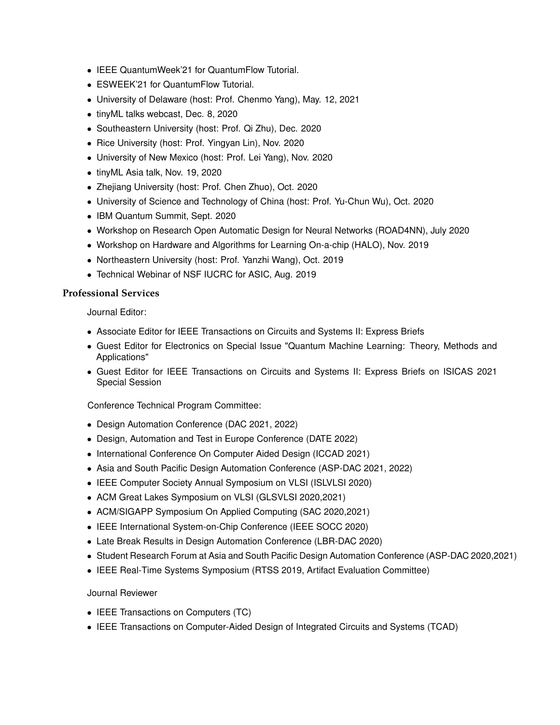- IEEE QuantumWeek'21 for QuantumFlow Tutorial.
- ESWEEK'21 for QuantumFlow Tutorial.
- University of Delaware (host: Prof. Chenmo Yang), May. 12, 2021
- tinyML talks webcast, Dec. 8, 2020
- Southeastern University (host: Prof. Qi Zhu), Dec. 2020
- Rice University (host: Prof. Yingyan Lin), Nov. 2020
- University of New Mexico (host: Prof. Lei Yang), Nov. 2020
- tinyML Asia talk, Nov. 19, 2020
- Zhejiang University (host: Prof. Chen Zhuo), Oct. 2020
- University of Science and Technology of China (host: Prof. Yu-Chun Wu), Oct. 2020
- IBM Quantum Summit, Sept. 2020
- Workshop on Research Open Automatic Design for Neural Networks (ROAD4NN), July 2020
- Workshop on Hardware and Algorithms for Learning On-a-chip (HALO), Nov. 2019
- Northeastern University (host: Prof. Yanzhi Wang), Oct. 2019
- Technical Webinar of NSF IUCRC for ASIC, Aug. 2019

## **Professional Services**

Journal Editor:

- Associate Editor for IEEE Transactions on Circuits and Systems II: Express Briefs
- Guest Editor for Electronics on Special Issue "Quantum Machine Learning: Theory, Methods and Applications"
- Guest Editor for IEEE Transactions on Circuits and Systems II: Express Briefs on ISICAS 2021 Special Session

Conference Technical Program Committee:

- Design Automation Conference (DAC 2021, 2022)
- Design, Automation and Test in Europe Conference (DATE 2022)
- International Conference On Computer Aided Design (ICCAD 2021)
- Asia and South Pacific Design Automation Conference (ASP-DAC 2021, 2022)
- IEEE Computer Society Annual Symposium on VLSI (ISLVLSI 2020)
- ACM Great Lakes Symposium on VLSI (GLSVLSI 2020,2021)
- ACM/SIGAPP Symposium On Applied Computing (SAC 2020,2021)
- IEEE International System-on-Chip Conference (IEEE SOCC 2020)
- Late Break Results in Design Automation Conference (LBR-DAC 2020)
- Student Research Forum at Asia and South Pacific Design Automation Conference (ASP-DAC 2020,2021)
- IEEE Real-Time Systems Symposium (RTSS 2019, Artifact Evaluation Committee)

## Journal Reviewer

- IEEE Transactions on Computers (TC)
- IEEE Transactions on Computer-Aided Design of Integrated Circuits and Systems (TCAD)